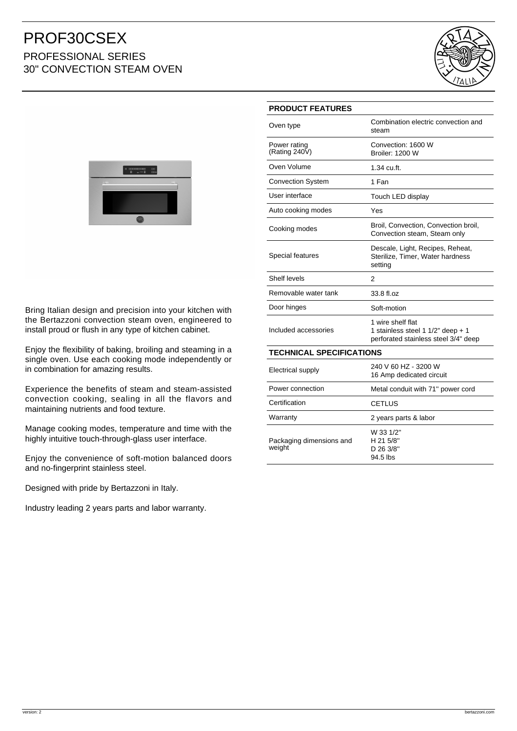## PROF30CSEX PROFESSIONAL SERIES 30" CONVECTION STEAM OVEN





Bring Italian design and precision into your kitchen with the Bertazzoni convection steam oven, engineered to install proud or flush in any type of kitchen cabinet.

Enjoy the flexibility of baking, broiling and steaming in a single oven. Use each cooking mode independently or in combination for amazing results.

Experience the benefits of steam and steam-assisted convection cooking, sealing in all the flavors and maintaining nutrients and food texture.

Manage cooking modes, temperature and time with the highly intuitive touch-through-glass user interface.

Enjoy the convenience of soft-motion balanced doors and no-fingerprint stainless steel.

Designed with pride by Bertazzoni in Italy.

Industry leading 2 years parts and labor warranty.

| <b>PRODUCT FEATURES</b>            |                                                                                                |
|------------------------------------|------------------------------------------------------------------------------------------------|
| Oven type                          | Combination electric convection and<br>steam                                                   |
| Power rating<br>(Rating 240 $V$ )  | Convection: 1600 W<br><b>Broiler: 1200 W</b>                                                   |
| Oven Volume                        | 1.34 cu.ft.                                                                                    |
| <b>Convection System</b>           | 1 Fan                                                                                          |
| User interface                     | Touch LED display                                                                              |
| Auto cooking modes                 | Yes                                                                                            |
| Cooking modes                      | Broil, Convection, Convection broil,<br>Convection steam, Steam only                           |
| Special features                   | Descale, Light, Recipes, Reheat,<br>Sterilize, Timer, Water hardness<br>setting                |
| Shelf levels                       | 2                                                                                              |
| Removable water tank               | 33.8 fl.oz                                                                                     |
| Door hinges                        | Soft-motion                                                                                    |
| Included accessories               | 1 wire shelf flat<br>1 stainless steel 1 1/2" deep + 1<br>perforated stainless steel 3/4" deep |
| <b>TECHNICAL SPECIFICATIONS</b>    |                                                                                                |
| <b>Electrical supply</b>           | 240 V 60 HZ - 3200 W<br>16 Amp dedicated circuit                                               |
| Power connection                   | Metal conduit with 71" power cord                                                              |
| Certification                      | CETLUS                                                                                         |
| Warranty                           | 2 years parts & labor                                                                          |
| Packaging dimensions and<br>weight | W 33 1/2"<br>H 21 5/8"<br>D 26 3/8"                                                            |

94.5 lbs